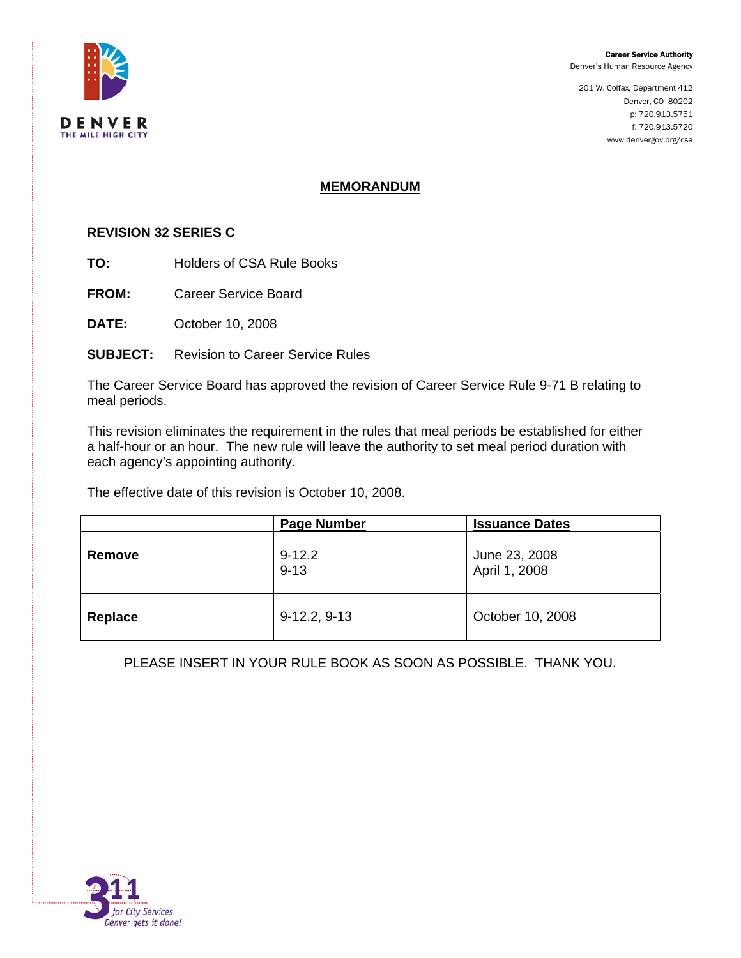#### Career Service Authority

Denver's Human Resource Agency

201 W. Colfax, Department 412 Denver, CO 80202 p: 720.913.5751 f: 720.913.5720 www.denvergov.org/csa



### **MEMORANDUM**

#### **REVISION 32 SERIES C**

**TO:** Holders of CSA Rule Books

**FROM:** Career Service Board

**DATE:** October 10, 2008

**SUBJECT:** Revision to Career Service Rules

The Career Service Board has approved the revision of Career Service Rule 9-71 B relating to meal periods.

This revision eliminates the requirement in the rules that meal periods be established for either a half-hour or an hour. The new rule will leave the authority to set meal period duration with each agency's appointing authority.

The effective date of this revision is October 10, 2008.

|         | <b>Page Number</b>     | <b>Issuance Dates</b>          |
|---------|------------------------|--------------------------------|
| Remove  | $9 - 12.2$<br>$9 - 13$ | June 23, 2008<br>April 1, 2008 |
| Replace | $9-12.2, 9-13$         | October 10, 2008               |

PLEASE INSERT IN YOUR RULE BOOK AS SOON AS POSSIBLE. THANK YOU.

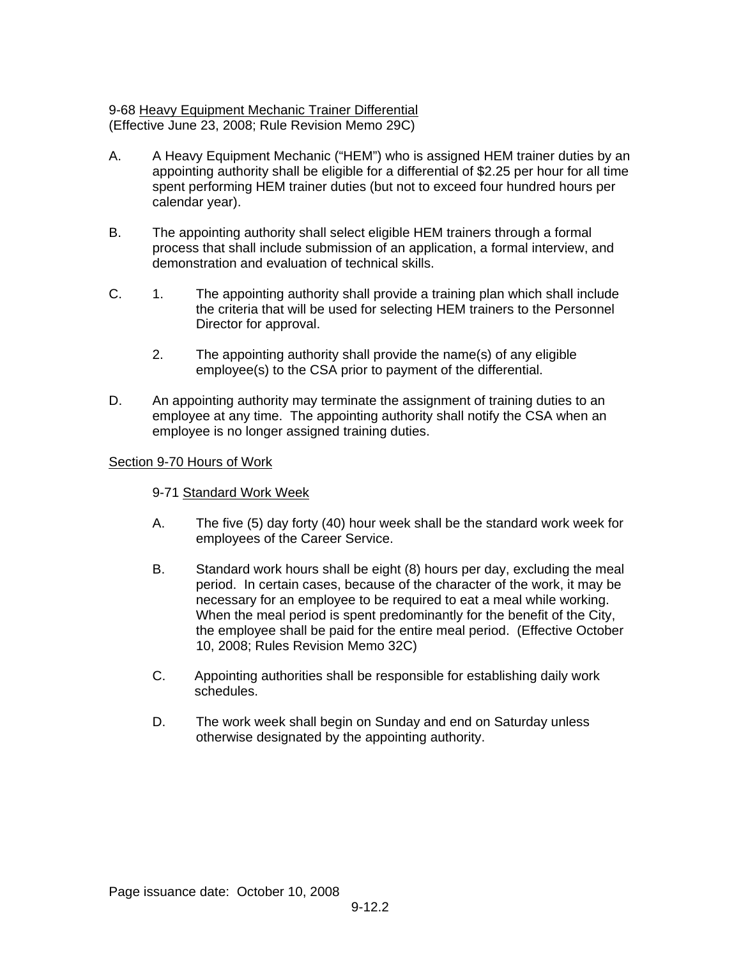# 9-68 Heavy Equipment Mechanic Trainer Differential (Effective June 23, 2008; Rule Revision Memo 29C)

- A. A Heavy Equipment Mechanic ("HEM") who is assigned HEM trainer duties by an appointing authority shall be eligible for a differential of \$2.25 per hour for all time spent performing HEM trainer duties (but not to exceed four hundred hours per calendar year).
- B. The appointing authority shall select eligible HEM trainers through a formal process that shall include submission of an application, a formal interview, and demonstration and evaluation of technical skills.
- C. 1. The appointing authority shall provide a training plan which shall include the criteria that will be used for selecting HEM trainers to the Personnel Director for approval.
	- 2. The appointing authority shall provide the name(s) of any eligible employee(s) to the CSA prior to payment of the differential.
- D. An appointing authority may terminate the assignment of training duties to an employee at any time. The appointing authority shall notify the CSA when an employee is no longer assigned training duties.

# Section 9-70 Hours of Work

# 9-71 Standard Work Week

- A. The five (5) day forty (40) hour week shall be the standard work week for employees of the Career Service.
- B. Standard work hours shall be eight (8) hours per day, excluding the meal period. In certain cases, because of the character of the work, it may be necessary for an employee to be required to eat a meal while working. When the meal period is spent predominantly for the benefit of the City, the employee shall be paid for the entire meal period. (Effective October 10, 2008; Rules Revision Memo 32C)
- C. Appointing authorities shall be responsible for establishing daily work schedules.
- D. The work week shall begin on Sunday and end on Saturday unless otherwise designated by the appointing authority.